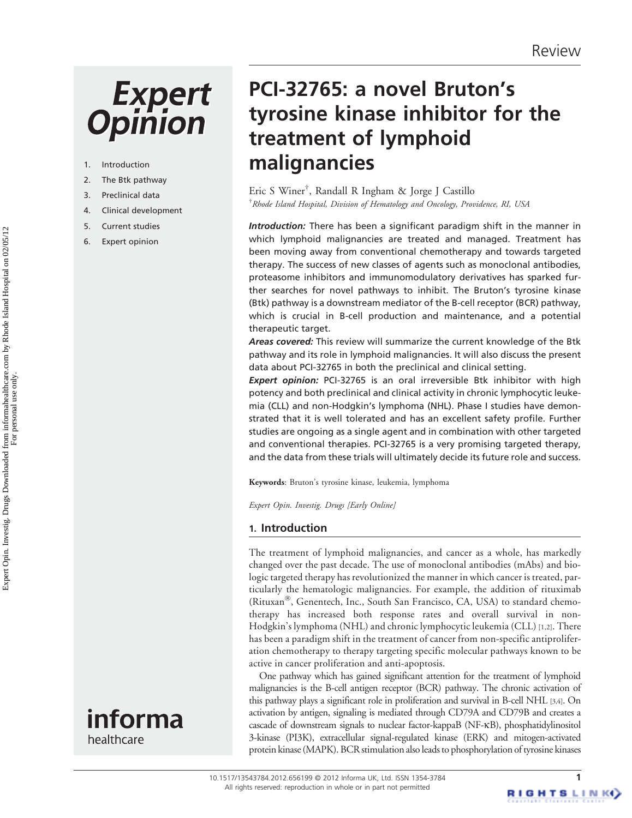# **Expert**<br>Opinion

- 1. Introduction
- 2. The Btk pathway
- 3. Preclinical data
- 4. Clinical development

informa

healthcare

- 5. Current studies
- 6. Expert opinion



malignancies

ther searches for novel pathways to inhibit. The Bruton's tyrosine kinase (Btk) pathway is a downstream mediator of the B-cell receptor (BCR) pathway, which is crucial in B-cell production and maintenance, and a potential therapeutic target.

PCI-32765: a novel Bruton's

treatment of lymphoid

Eric S Winer† , Randall R Ingham & Jorge J Castillo

† Rhode Island Hospital, Division of Hematology and Oncology, Providence, RI, USA

tyrosine kinase inhibitor for the

Areas covered: This review will summarize the current knowledge of the Btk pathway and its role in lymphoid malignancies. It will also discuss the present data about PCI-32765 in both the preclinical and clinical setting.

Expert opinion: PCI-32765 is an oral irreversible Btk inhibitor with high potency and both preclinical and clinical activity in chronic lymphocytic leukemia (CLL) and non-Hodgkin's lymphoma (NHL). Phase I studies have demonstrated that it is well tolerated and has an excellent safety profile. Further studies are ongoing as a single agent and in combination with other targeted and conventional therapies. PCI-32765 is a very promising targeted therapy, and the data from these trials will ultimately decide its future role and success.

Keywords: Bruton's tyrosine kinase, leukemia, lymphoma

Expert Opin. Investig. Drugs [Early Online]

# 1. Introduction

The treatment of lymphoid malignancies, and cancer as a whole, has markedly changed over the past decade. The use of monoclonal antibodies (mAbs) and biologic targeted therapy has revolutionized the manner in which cancer is treated, particularly the hematologic malignancies. For example, the addition of rituximab (Rituxan<sup>®</sup>, Genentech, Inc., South San Francisco, CA, USA) to standard chemotherapy has increased both response rates and overall survival in non-Hodgkin's lymphoma (NHL) and chronic lymphocytic leukemia (CLL) [1,2]. There has been a paradigm shift in the treatment of cancer from non-specific antiproliferation chemotherapy to therapy targeting specific molecular pathways known to be active in cancer proliferation and anti-apoptosis.

One pathway which has gained significant attention for the treatment of lymphoid malignancies is the B-cell antigen receptor (BCR) pathway. The chronic activation of this pathway plays a significant role in proliferation and survival in B-cell NHL [3,4]. On activation by antigen, signaling is mediated through CD79A and CD79B and creates a cascade of downstream signals to nuclear factor-kappaB (NF-kB), phosphatidylinositol 3-kinase (PI3K), extracellular signal-regulated kinase (ERK) and mitogen-activated protein kinase (MAPK). BCR stimulation also leads to phosphorylation of tyrosine kinases

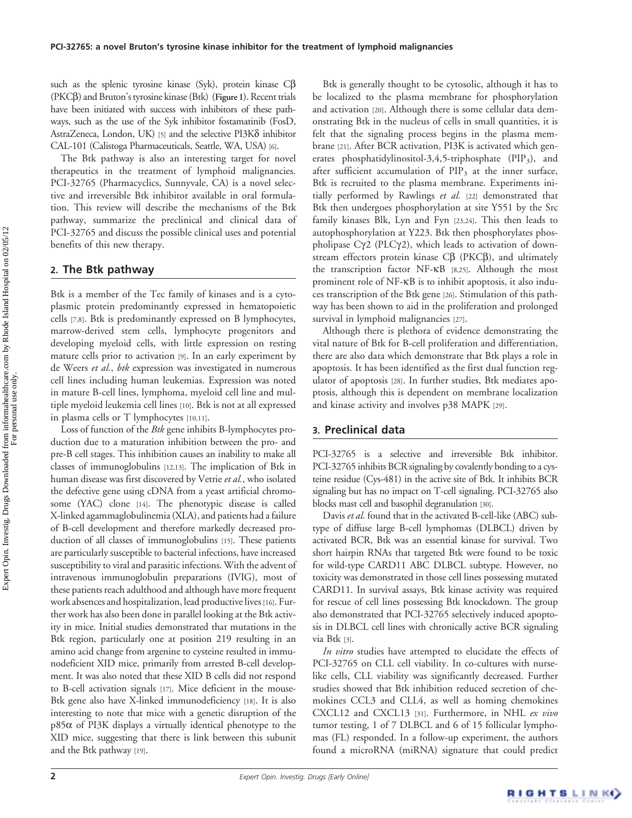such as the splenic tyrosine kinase (Syk), protein kinase  $C\beta$  $(PKC\beta)$  and Bruton's tyrosine kinase (Btk) (Figure 1). Recent trials have been initiated with success with inhibitors of these pathways, such as the use of the Syk inhibitor fostamatinib (FosD, AstraZeneca, London, UK) [5] and the selective PI3K $\delta$  inhibitor CAL-101 (Calistoga Pharmaceuticals, Seattle, WA, USA) [6].

The Btk pathway is also an interesting target for novel therapeutics in the treatment of lymphoid malignancies. PCI-32765 (Pharmacyclics, Sunnyvale, CA) is a novel selective and irreversible Btk inhibitor available in oral formulation. This review will describe the mechanisms of the Btk pathway, summarize the preclinical and clinical data of PCI-32765 and discuss the possible clinical uses and potential benefits of this new therapy.

### 2. The Btk pathway

Btk is a member of the Tec family of kinases and is a cytoplasmic protein predominantly expressed in hematopoietic cells [7,8]. Btk is predominantly expressed on B lymphocytes, marrow-derived stem cells, lymphocyte progenitors and developing myeloid cells, with little expression on resting mature cells prior to activation [9]. In an early experiment by de Weers et al., btk expression was investigated in numerous cell lines including human leukemias. Expression was noted in mature B-cell lines, lymphoma, myeloid cell line and multiple myeloid leukemia cell lines [10]. Btk is not at all expressed in plasma cells or T lymphocytes [10,11].

Loss of function of the Btk gene inhibits B-lymphocytes production due to a maturation inhibition between the pro- and pre-B cell stages. This inhibition causes an inability to make all classes of immunoglobulins [12,13]. The implication of Btk in human disease was first discovered by Vetrie et al., who isolated the defective gene using cDNA from a yeast artificial chromosome (YAC) clone [14]. The phenotypic disease is called X-linked agammaglobulinemia (XLA), and patients had a failure of B-cell development and therefore markedly decreased production of all classes of immunoglobulins [15]. These patients are particularly susceptible to bacterial infections, have increased susceptibility to viral and parasitic infections. With the advent of intravenous immunoglobulin preparations (IVIG), most of these patients reach adulthood and although have more frequent work absences and hospitalization, lead productive lives[16]. Further work has also been done in parallel looking at the Btk activity in mice. Initial studies demonstrated that mutations in the Btk region, particularly one at position 219 resulting in an amino acid change from argenine to cysteine resulted in immunodeficient XID mice, primarily from arrested B-cell development. It was also noted that these XID B cells did not respond to B-cell activation signals [17]. Mice deficient in the mouse-Btk gene also have X-linked immunodeficiency [18]. It is also interesting to note that mice with a genetic disruption of the  $p85\alpha$  of PI3K displays a virtually identical phenotype to the XID mice, suggesting that there is link between this subunit and the Btk pathway [19].

Btk is generally thought to be cytosolic, although it has to be localized to the plasma membrane for phosphorylation and activation [20]. Although there is some cellular data demonstrating Btk in the nucleus of cells in small quantities, it is felt that the signaling process begins in the plasma membrane [21]. After BCR activation, PI3K is activated which generates phosphatidylinositol-3,4,5-triphosphate (PIP<sub>3</sub>), and after sufficient accumulation of  $PIP<sub>3</sub>$  at the inner surface, Btk is recruited to the plasma membrane. Experiments initially performed by Rawlings et al. [22] demonstrated that Btk then undergoes phosphorylation at site Y551 by the Src family kinases Blk, Lyn and Fyn [23,24]. This then leads to autophosphorylation at Y223. Btk then phosphorylates phospholipase Cy2 (PLCy2), which leads to activation of downstream effectors protein kinase  $C\beta$  (PKC $\beta$ ), and ultimately the transcription factor NF-kB [8,25]. Although the most prominent role of NF-kB is to inhibit apoptosis, it also induces transcription of the Btk gene [26]. Stimulation of this pathway has been shown to aid in the proliferation and prolonged survival in lymphoid malignancies [27].

Although there is plethora of evidence demonstrating the vital nature of Btk for B-cell proliferation and differentiation, there are also data which demonstrate that Btk plays a role in apoptosis. It has been identified as the first dual function regulator of apoptosis [28]. In further studies, Btk mediates apoptosis, although this is dependent on membrane localization and kinase activity and involves p38 MAPK [29].

#### 3. Preclinical data

PCI-32765 is a selective and irreversible Btk inhibitor. PCI-32765 inhibits BCR signaling by covalently bonding to a cysteine residue (Cys-481) in the active site of Btk. It inhibits BCR signaling but has no impact on T-cell signaling. PCI-32765 also blocks mast cell and basophil degranulation [30].

Davis et al. found that in the activated B-cell-like (ABC) subtype of diffuse large B-cell lymphomas (DLBCL) driven by activated BCR, Btk was an essential kinase for survival. Two short hairpin RNAs that targeted Btk were found to be toxic for wild-type CARD11 ABC DLBCL subtype. However, no toxicity was demonstrated in those cell lines possessing mutated CARD11. In survival assays, Btk kinase activity was required for rescue of cell lines possessing Btk knockdown. The group also demonstrated that PCI-32765 selectively induced apoptosis in DLBCL cell lines with chronically active BCR signaling via Btk [3].

In vitro studies have attempted to elucidate the effects of PCI-32765 on CLL cell viability. In co-cultures with nurselike cells, CLL viability was significantly decreased. Further studies showed that Btk inhibition reduced secretion of chemokines CCL3 and CLL4, as well as homing chemokines CXCL12 and CXCL13 [31]. Furthermore, in NHL ex vivo tumor testing, 1 of 7 DLBCL and 6 of 15 follicular lymphomas (FL) responded. In a follow-up experiment, the authors found a microRNA (miRNA) signature that could predict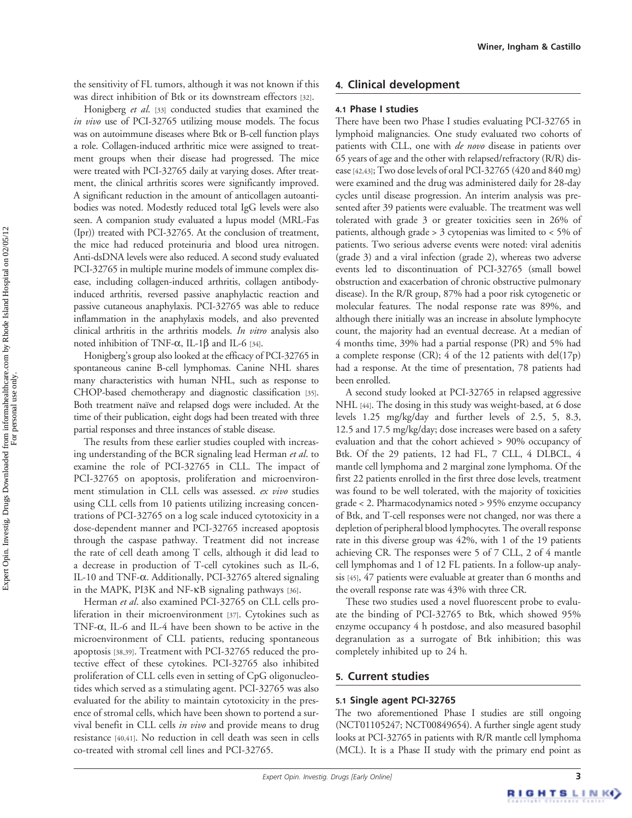the sensitivity of FL tumors, although it was not known if this was direct inhibition of Btk or its downstream effectors [32].

Honigberg et al. [33] conducted studies that examined the in vivo use of PCI-32765 utilizing mouse models. The focus was on autoimmune diseases where Btk or B-cell function plays a role. Collagen-induced arthritic mice were assigned to treatment groups when their disease had progressed. The mice were treated with PCI-32765 daily at varying doses. After treatment, the clinical arthritis scores were significantly improved. A significant reduction in the amount of anticollagen autoantibodies was noted. Modestly reduced total IgG levels were also seen. A companion study evaluated a lupus model (MRL-Fas (Ipr)) treated with PCI-32765. At the conclusion of treatment, the mice had reduced proteinuria and blood urea nitrogen. Anti-dsDNA levels were also reduced. A second study evaluated PCI-32765 in multiple murine models of immune complex disease, including collagen-induced arthritis, collagen antibodyinduced arthritis, reversed passive anaphylactic reaction and passive cutaneous anaphylaxis. PCI-32765 was able to reduce inflammation in the anaphylaxis models, and also prevented clinical arthritis in the arthritis models. In vitro analysis also noted inhibition of TNF- $\alpha$ , IL-1 $\beta$  and IL-6 [34].

Honigberg's group also looked at the efficacy of PCI-32765 in spontaneous canine B-cell lymphomas. Canine NHL shares many characteristics with human NHL, such as response to CHOP-based chemotherapy and diagnostic classification [35]. Both treatment naïve and relapsed dogs were included. At the time of their publication, eight dogs had been treated with three partial responses and three instances of stable disease.

The results from these earlier studies coupled with increasing understanding of the BCR signaling lead Herman et al. to examine the role of PCI-32765 in CLL. The impact of PCI-32765 on apoptosis, proliferation and microenvironment stimulation in CLL cells was assessed. ex vivo studies using CLL cells from 10 patients utilizing increasing concentrations of PCI-32765 on a log scale induced cytotoxicity in a dose-dependent manner and PCI-32765 increased apoptosis through the caspase pathway. Treatment did not increase the rate of cell death among T cells, although it did lead to a decrease in production of T-cell cytokines such as IL-6, IL-10 and TNF-a. Additionally, PCI-32765 altered signaling in the MAPK, PI3K and NF-kB signaling pathways [36].

Herman et al. also examined PCI-32765 on CLL cells proliferation in their microenvironment [37]. Cytokines such as TNF- $\alpha$ , IL-6 and IL-4 have been shown to be active in the microenvironment of CLL patients, reducing spontaneous apoptosis [38,39]. Treatment with PCI-32765 reduced the protective effect of these cytokines. PCI-32765 also inhibited proliferation of CLL cells even in setting of CpG oligonucleotides which served as a stimulating agent. PCI-32765 was also evaluated for the ability to maintain cytotoxicity in the presence of stromal cells, which have been shown to portend a survival benefit in CLL cells in vivo and provide means to drug resistance [40,41]. No reduction in cell death was seen in cells co-treated with stromal cell lines and PCI-32765.

#### 4. Clinical development

#### 4.1 Phase I studies

There have been two Phase I studies evaluating PCI-32765 in lymphoid malignancies. One study evaluated two cohorts of patients with CLL, one with *de novo* disease in patients over 65 years of age and the other with relapsed/refractory (R/R) disease  $[42,43]$ ; Two dose levels of oral PCI-32765 (420 and 840 mg) were examined and the drug was administered daily for 28-day cycles until disease progression. An interim analysis was presented after 39 patients were evaluable. The treatment was well tolerated with grade 3 or greater toxicities seen in 26% of patients, although grade > 3 cytopenias was limited to < 5% of patients. Two serious adverse events were noted: viral adenitis (grade 3) and a viral infection (grade 2), whereas two adverse events led to discontinuation of PCI-32765 (small bowel obstruction and exacerbation of chronic obstructive pulmonary disease). In the R/R group, 87% had a poor risk cytogenetic or molecular features. The nodal response rate was 89%, and although there initially was an increase in absolute lymphocyte count, the majority had an eventual decrease. At a median of 4 months time, 39% had a partial response (PR) and 5% had a complete response (CR); 4 of the 12 patients with del(17p) had a response. At the time of presentation, 78 patients had been enrolled.

A second study looked at PCI-32765 in relapsed aggressive NHL [44]. The dosing in this study was weight-based, at 6 dose levels 1.25 mg/kg/day and further levels of 2.5, 5, 8.3, 12.5 and 17.5 mg/kg/day; dose increases were based on a safety evaluation and that the cohort achieved > 90% occupancy of Btk. Of the 29 patients, 12 had FL, 7 CLL, 4 DLBCL, 4 mantle cell lymphoma and 2 marginal zone lymphoma. Of the first 22 patients enrolled in the first three dose levels, treatment was found to be well tolerated, with the majority of toxicities grade < 2. Pharmacodynamics noted > 95% enzyme occupancy of Btk, and T-cell responses were not changed, nor was there a depletion of peripheral blood lymphocytes. The overall response rate in this diverse group was 42%, with 1 of the 19 patients achieving CR. The responses were 5 of 7 CLL, 2 of 4 mantle cell lymphomas and 1 of 12 FL patients. In a follow-up analysis [45], 47 patients were evaluable at greater than 6 months and the overall response rate was 43% with three CR.

These two studies used a novel fluorescent probe to evaluate the binding of PCI-32765 to Btk, which showed 95% enzyme occupancy 4 h postdose, and also measured basophil degranulation as a surrogate of Btk inhibition; this was completely inhibited up to 24 h.

#### 5. Current studies

#### 5.1 Single agent PCI-32765

The two aforementioned Phase I studies are still ongoing (NCT01105247; NCT00849654). A further single agent study looks at PCI-32765 in patients with R/R mantle cell lymphoma (MCL). It is a Phase II study with the primary end point as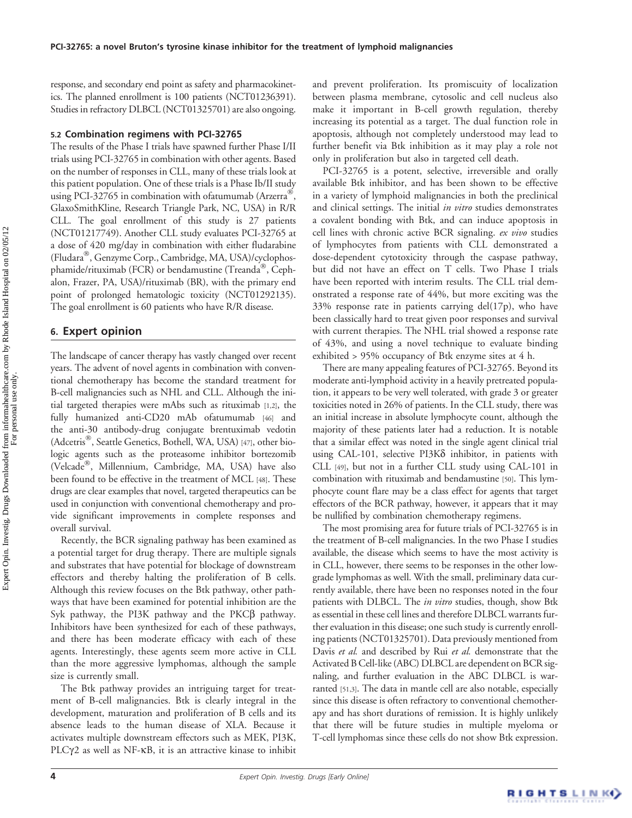response, and secondary end point as safety and pharmacokinetics. The planned enrollment is 100 patients (NCT01236391). Studies in refractory DLBCL (NCT01325701) are also ongoing.

#### 5.2 Combination regimens with PCI-32765

The results of the Phase I trials have spawned further Phase I/II trials using PCI-32765 in combination with other agents. Based on the number of responses in CLL, many of these trials look at this patient population. One of these trials is a Phase Ib/II study using PCI-32765 in combination with ofatumumab (Arzerra®, GlaxoSmithKline, Research Triangle Park, NC, USA) in R/R CLL. The goal enrollment of this study is 27 patients (NCT01217749). Another CLL study evaluates PCI-32765 at a dose of 420 mg/day in combination with either fludarabine (Fludara<sup>®</sup>, Genzyme Corp., Cambridge, MA, USA)/cyclophosphamide/rituximab (FCR) or bendamustine (Treanda®, Cephalon, Frazer, PA, USA)/rituximab (BR), with the primary end point of prolonged hematologic toxicity (NCT01292135). The goal enrollment is 60 patients who have R/R disease.

## 6. Expert opinion

The landscape of cancer therapy has vastly changed over recent years. The advent of novel agents in combination with conventional chemotherapy has become the standard treatment for B-cell malignancies such as NHL and CLL. Although the initial targeted therapies were mAbs such as rituximab [1,2], the fully humanized anti-CD20 mAb ofatumumab [46] and the anti-30 antibody-drug conjugate brentuximab vedotin (Adcetris<sup>®</sup>, Seattle Genetics, Bothell, WA, USA) [47], other biologic agents such as the proteasome inhibitor bortezomib (Velcade®, Millennium, Cambridge, MA, USA) have also been found to be effective in the treatment of MCL [48]. These drugs are clear examples that novel, targeted therapeutics can be used in conjunction with conventional chemotherapy and provide significant improvements in complete responses and overall survival.

Recently, the BCR signaling pathway has been examined as a potential target for drug therapy. There are multiple signals and substrates that have potential for blockage of downstream effectors and thereby halting the proliferation of B cells. Although this review focuses on the Btk pathway, other pathways that have been examined for potential inhibition are the Syk pathway, the PI3K pathway and the PKC $\beta$  pathway. Inhibitors have been synthesized for each of these pathways, and there has been moderate efficacy with each of these agents. Interestingly, these agents seem more active in CLL than the more aggressive lymphomas, although the sample size is currently small.

The Btk pathway provides an intriguing target for treatment of B-cell malignancies. Btk is clearly integral in the development, maturation and proliferation of B cells and its absence leads to the human disease of XLA. Because it activates multiple downstream effectors such as MEK, PI3K, PLC $\gamma$ 2 as well as NF- $\kappa$ B, it is an attractive kinase to inhibit

and prevent proliferation. Its promiscuity of localization between plasma membrane, cytosolic and cell nucleus also make it important in B-cell growth regulation, thereby increasing its potential as a target. The dual function role in apoptosis, although not completely understood may lead to further benefit via Btk inhibition as it may play a role not only in proliferation but also in targeted cell death.

PCI-32765 is a potent, selective, irreversible and orally available Btk inhibitor, and has been shown to be effective in a variety of lymphoid malignancies in both the preclinical and clinical settings. The initial in vitro studies demonstrates a covalent bonding with Btk, and can induce apoptosis in cell lines with chronic active BCR signaling. ex vivo studies of lymphocytes from patients with CLL demonstrated a dose-dependent cytotoxicity through the caspase pathway, but did not have an effect on T cells. Two Phase I trials have been reported with interim results. The CLL trial demonstrated a response rate of 44%, but more exciting was the 33% response rate in patients carrying del(17p), who have been classically hard to treat given poor responses and survival with current therapies. The NHL trial showed a response rate of 43%, and using a novel technique to evaluate binding exhibited > 95% occupancy of Btk enzyme sites at 4 h.

There are many appealing features of PCI-32765. Beyond its moderate anti-lymphoid activity in a heavily pretreated population, it appears to be very well tolerated, with grade 3 or greater toxicities noted in 26% of patients. In the CLL study, there was an initial increase in absolute lymphocyte count, although the majority of these patients later had a reduction. It is notable that a similar effect was noted in the single agent clinical trial using CAL-101, selective PI3K $\delta$  inhibitor, in patients with CLL [49], but not in a further CLL study using CAL-101 in combination with rituximab and bendamustine [50]. This lymphocyte count flare may be a class effect for agents that target effectors of the BCR pathway, however, it appears that it may be nullified by combination chemotherapy regimens.

The most promising area for future trials of PCI-32765 is in the treatment of B-cell malignancies. In the two Phase I studies available, the disease which seems to have the most activity is in CLL, however, there seems to be responses in the other lowgrade lymphomas as well. With the small, preliminary data currently available, there have been no responses noted in the four patients with DLBCL. The *in vitro* studies, though, show Btk as essential in these cell lines and therefore DLBCL warrants further evaluation in this disease; one such study is currently enrolling patients (NCT01325701). Data previously mentioned from Davis et al. and described by Rui et al. demonstrate that the Activated B Cell-like (ABC) DLBCL are dependent on BCR signaling, and further evaluation in the ABC DLBCL is warranted [51,3]. The data in mantle cell are also notable, especially since this disease is often refractory to conventional chemotherapy and has short durations of remission. It is highly unlikely that there will be future studies in multiple myeloma or T-cell lymphomas since these cells do not show Btk expression.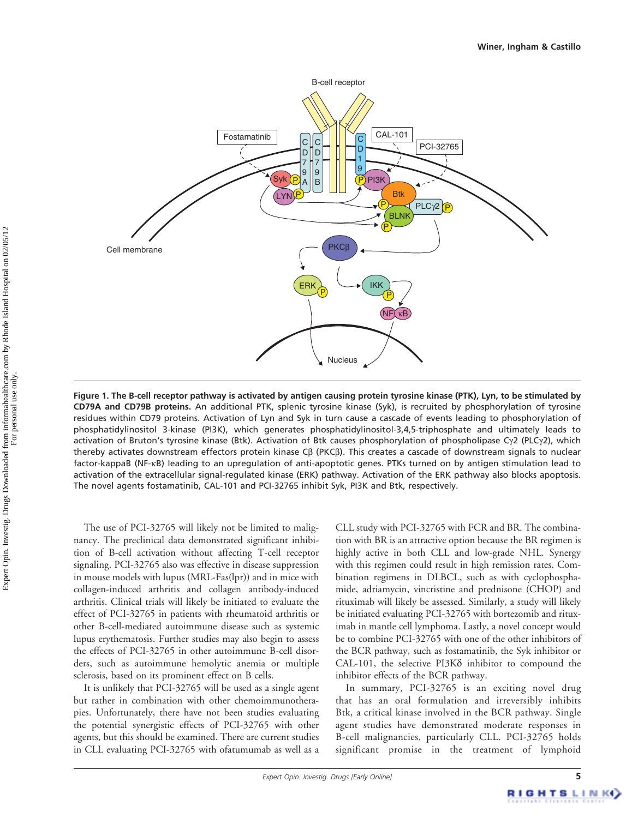

Figure 1. The B-cell receptor pathway is activated by antigen causing protein tyrosine kinase (PTK), Lyn, to be stimulated by CD79A and CD79B proteins. An additional PTK, splenic tyrosine kinase (Syk), is recruited by phosphorylation of tyrosine residues within CD79 proteins. Activation of Lyn and Syk in turn cause a cascade of events leading to phosphorylation of phosphatidylinositol 3-kinase (PI3K), which generates phosphatidylinositol-3,4,5-triphosphate and ultimately leads to activation of Bruton's tyrosine kinase (Btk). Activation of Btk causes phosphorylation of phospholipase C $\gamma$ 2 (PLC $\gamma$ 2), which thereby activates downstream effectors protein kinase C $\beta$  (PKC $\beta$ ). This creates a cascade of downstream signals to nuclear factor-kappaB (NF-kB) leading to an upregulation of anti-apoptotic genes. PTKs turned on by antigen stimulation lead to activation of the extracellular signal-regulated kinase (ERK) pathway. Activation of the ERK pathway also blocks apoptosis. The novel agents fostamatinib, CAL-101 and PCI-32765 inhibit Syk, PI3K and Btk, respectively.

The use of PCI-32765 will likely not be limited to malignancy. The preclinical data demonstrated significant inhibition of B-cell activation without affecting T-cell receptor signaling. PCI-32765 also was effective in disease suppression in mouse models with lupus (MRL-Fas(lpr)) and in mice with collagen-induced arthritis and collagen antibody-induced arthritis. Clinical trials will likely be initiated to evaluate the effect of PCI-32765 in patients with rheumatoid arthritis or other B-cell-mediated autoimmune disease such as systemic lupus erythematosis. Further studies may also begin to assess the effects of PCI-32765 in other autoimmune B-cell disorders, such as autoimmune hemolytic anemia or multiple sclerosis, based on its prominent effect on B cells.

It is unlikely that PCI-32765 will be used as a single agent but rather in combination with other chemoimmunotherapies. Unfortunately, there have not been studies evaluating the potential synergistic effects of PCI-32765 with other agents, but this should be examined. There are current studies in CLL evaluating PCI-32765 with ofatumumab as well as a

CLL study with PCI-32765 with FCR and BR. The combination with BR is an attractive option because the BR regimen is highly active in both CLL and low-grade NHL. Synergy with this regimen could result in high remission rates. Combination regimens in DLBCL, such as with cyclophosphamide, adriamycin, vincristine and prednisone (CHOP) and rituximab will likely be assessed. Similarly, a study will likely be initiated evaluating PCI-32765 with bortezomib and rituximab in mantle cell lymphoma. Lastly, a novel concept would be to combine PCI-32765 with one of the other inhibitors of the BCR pathway, such as fostamatinib, the Syk inhibitor or  $CAL-101$ , the selective  $PI3K\delta$  inhibitor to compound the inhibitor effects of the BCR pathway.

In summary, PCI-32765 is an exciting novel drug that has an oral formulation and irreversibly inhibits Btk, a critical kinase involved in the BCR pathway. Single agent studies have demonstrated moderate responses in B-cell malignancies, particularly CLL. PCI-32765 holds significant promise in the treatment of lymphoid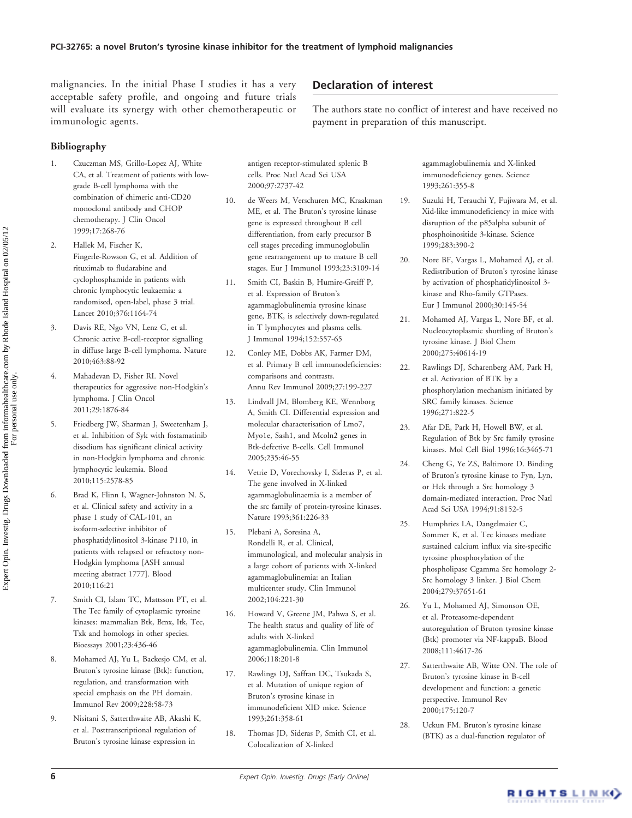malignancies. In the initial Phase I studies it has a very acceptable safety profile, and ongoing and future trials will evaluate its synergy with other chemotherapeutic or immunologic agents.

#### Bibliography

- 1. Czuczman MS, Grillo-Lopez AJ, White CA, et al. Treatment of patients with lowgrade B-cell lymphoma with the combination of chimeric anti-CD20 monoclonal antibody and CHOP chemotherapy. J Clin Oncol 1999;17:268-76
- 2. Hallek M, Fischer K, Fingerle-Rowson G, et al. Addition of rituximab to fludarabine and cyclophosphamide in patients with chronic lymphocytic leukaemia: a randomised, open-label, phase 3 trial. Lancet 2010;376:1164-74
- 3. Davis RE, Ngo VN, Lenz G, et al. Chronic active B-cell-receptor signalling in diffuse large B-cell lymphoma. Nature 2010;463:88-92
- 4. Mahadevan D, Fisher RI. Novel therapeutics for aggressive non-Hodgkin's lymphoma. J Clin Oncol 2011;29:1876-84
- 5. Friedberg JW, Sharman J, Sweetenham J, et al. Inhibition of Syk with fostamatinib disodium has significant clinical activity in non-Hodgkin lymphoma and chronic lymphocytic leukemia. Blood 2010;115:2578-85
- 6. Brad K, Flinn I, Wagner-Johnston N. S, et al. Clinical safety and activity in a phase 1 study of CAL-101, an isoform-selective inhibitor of phosphatidylinositol 3-kinase P110, in patients with relapsed or refractory non-Hodgkin lymphoma [ASH annual meeting abstract 1777]. Blood 2010;116:21
- 7. Smith CI, Islam TC, Mattsson PT, et al. The Tec family of cytoplasmic tyrosine kinases: mammalian Btk, Bmx, Itk, Tec, Txk and homologs in other species. Bioessays 2001;23:436-46
- 8. Mohamed AJ, Yu L, Backesjo CM, et al. Bruton's tyrosine kinase (Btk): function, regulation, and transformation with special emphasis on the PH domain. Immunol Rev 2009;228:58-73
- 9. Nisitani S, Satterthwaite AB, Akashi K, et al. Posttranscriptional regulation of Bruton's tyrosine kinase expression in

antigen receptor-stimulated splenic B cells. Proc Natl Acad Sci USA 2000;97:2737-42

- 10. de Weers M, Verschuren MC, Kraakman ME, et al. The Bruton's tyrosine kinase gene is expressed throughout B cell differentiation, from early precursor B cell stages preceding immunoglobulin gene rearrangement up to mature B cell stages. Eur J Immunol 1993;23:3109-14
- 11. Smith CI, Baskin B, Humire-Greiff P, et al. Expression of Bruton's agammaglobulinemia tyrosine kinase gene, BTK, is selectively down-regulated in T lymphocytes and plasma cells. J Immunol 1994;152:557-65
- 12. Conley ME, Dobbs AK, Farmer DM, et al. Primary B cell immunodeficiencies: comparisons and contrasts. Annu Rev Immunol 2009;27:199-227
- 13. Lindvall JM, Blomberg KE, Wennborg A, Smith CI. Differential expression and molecular characterisation of Lmo7, Myo1e, Sash1, and Mcoln2 genes in Btk-defective B-cells. Cell Immunol 2005;235:46-55
- 14. Vetrie D, Vorechovsky I, Sideras P, et al. The gene involved in X-linked agammaglobulinaemia is a member of the src family of protein-tyrosine kinases. Nature 1993;361:226-33
- 15. Plebani A, Soresina A, Rondelli R, et al. Clinical, immunological, and molecular analysis in a large cohort of patients with X-linked agammaglobulinemia: an Italian multicenter study. Clin Immunol 2002;104:221-30
- 16. Howard V, Greene JM, Pahwa S, et al. The health status and quality of life of adults with X-linked agammaglobulinemia. Clin Immunol 2006;118:201-8
- 17. Rawlings DJ, Saffran DC, Tsukada S, et al. Mutation of unique region of Bruton's tyrosine kinase in immunodeficient XID mice. Science 1993;261:358-61
- 18. Thomas JD, Sideras P, Smith CI, et al. Colocalization of X-linked

# Declaration of interest

The authors state no conflict of interest and have received no payment in preparation of this manuscript.

> agammaglobulinemia and X-linked immunodeficiency genes. Science 1993;261:355-8

- 19. Suzuki H, Terauchi Y, Fujiwara M, et al. Xid-like immunodeficiency in mice with disruption of the p85alpha subunit of phosphoinositide 3-kinase. Science 1999;283:390-2
- 20. Nore BF, Vargas L, Mohamed AJ, et al. Redistribution of Bruton's tyrosine kinase by activation of phosphatidylinositol 3 kinase and Rho-family GTPases. Eur J Immunol 2000;30:145-54
- 21. Mohamed AJ, Vargas L, Nore BF, et al. Nucleocytoplasmic shuttling of Bruton's tyrosine kinase. J Biol Chem 2000;275:40614-19
- 22. Rawlings DJ, Scharenberg AM, Park H, et al. Activation of BTK by a phosphorylation mechanism initiated by SRC family kinases. Science 1996;271:822-5
- 23. Afar DE, Park H, Howell BW, et al. Regulation of Btk by Src family tyrosine kinases. Mol Cell Biol 1996;16:3465-71
- 24. Cheng G, Ye ZS, Baltimore D. Binding of Bruton's tyrosine kinase to Fyn, Lyn, or Hck through a Src homology 3 domain-mediated interaction. Proc Natl Acad Sci USA 1994;91:8152-5
- 25. Humphries LA, Dangelmaier C, Sommer K, et al. Tec kinases mediate sustained calcium influx via site-specific tyrosine phosphorylation of the phospholipase Cgamma Src homology 2- Src homology 3 linker. J Biol Chem 2004;279:37651-61
- 26. Yu L, Mohamed AJ, Simonson OE, et al. Proteasome-dependent autoregulation of Bruton tyrosine kinase (Btk) promoter via NF-kappaB. Blood 2008;111:4617-26
- 27. Satterthwaite AB, Witte ON. The role of Bruton's tyrosine kinase in B-cell development and function: a genetic perspective. Immunol Rev 2000;175:120-7
- 28. Uckun FM. Bruton's tyrosine kinase (BTK) as a dual-function regulator of